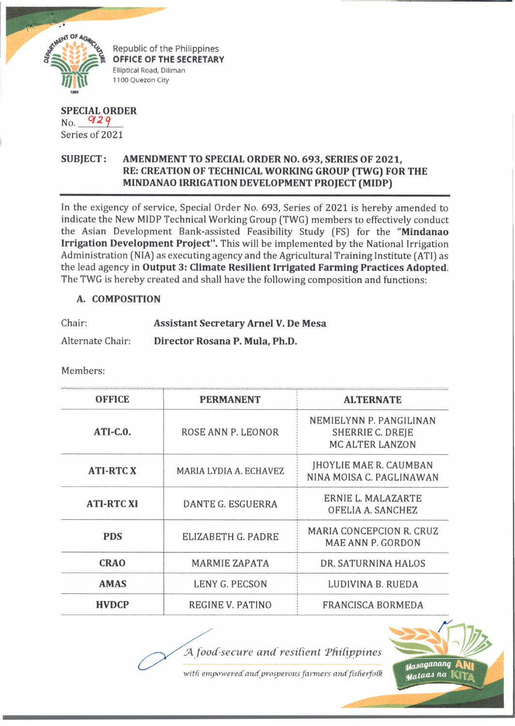

Republic of the Philippines OFFICE OF THE SECRETARY Elliptical Road, Diliman 1100 Quezon City

## **SPECIAL ORDER**  $No.$  929 Series of 2021

## **SUBJECT: AMENDMENT TO SPECIAL ORDER NO. 693, SERIES OF 2021, RE: CREATION OF TECHNICAL WORKING GROUP (TWG) FOR THE MINDANAO IRRIGATION DEVELOPMENT PROJECT (MIDP)**

In the exigency of service, Special Order No. 693, Series of 2021 is hereby amended to indicate the New MIDP Technical Working Group (TWG) members to effectively conduct the Asian Development Bank-assisted Feasibility Study (FS) for the **"Mindanao Irrigation Development Project".** This will be implemented by the National Irrigation Administration (NIA) as executing agency and the Agricultural Training Institute (ATI) as the lead agency in **Output 3: Climate Resilient Irrigated Farming Practices Adopted.** The TWG is hereby created and shall have the following composition and functions:

## **A. COMPOSITION**

| Chair:           | <b>Assistant Secretary Arnel V. De Mesa</b> |  |
|------------------|---------------------------------------------|--|
| Alternate Chair: | Director Rosana P. Mula, Ph.D.              |  |

Members:

| <b>OFFICE</b>     | <b>PERMANENT</b>       | <b>ALTERNATE</b>                                                      |
|-------------------|------------------------|-----------------------------------------------------------------------|
| $ATI-C.0.$        | ROSE ANN P. LEONOR     | NEMIELYNN P. PANGILINAN<br>SHERRIE C. DREJE<br><b>MC ALTER LANZON</b> |
| <b>ATI-RTCX</b>   | MARIA LYDIA A. ECHAVEZ | JHOYLIE MAE R. CAUMBAN<br>NINA MOISA C. PAGLINAWAN                    |
| <b>ATI-RTC XI</b> | DANTE G. ESGUERRA      | ERNIE L. MALAZARTE<br>OFELIA A. SANCHEZ                               |
| <b>PDS</b>        | ELIZABETH G. PADRE     | MARIA CONCEPCION R. CRUZ<br>MAE ANN P. GORDON                         |
| <b>CRAO</b>       | <b>MARMIE ZAPATA</b>   | DR. SATURNINA HALOS                                                   |
| <b>AMAS</b>       | LENY G. PECSON         | LUDIVINA B. RUEDA                                                     |
| <b>HVDCP</b>      | REGINE V. PATINO       | <b>FRANCISCA BORMEDA</b>                                              |

JA *food-secure and resilient 'Philippines*

with empowered and prosperous farmers and fisherfolk